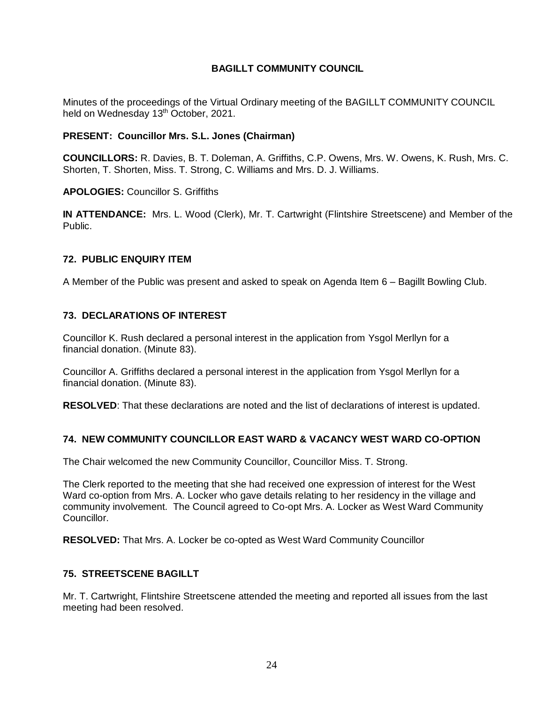# **BAGILLT COMMUNITY COUNCIL**

Minutes of the proceedings of the Virtual Ordinary meeting of the BAGILLT COMMUNITY COUNCIL held on Wednesday 13<sup>th</sup> October, 2021.

### **PRESENT: Councillor Mrs. S.L. Jones (Chairman)**

**COUNCILLORS:** R. Davies, B. T. Doleman, A. Griffiths, C.P. Owens, Mrs. W. Owens, K. Rush, Mrs. C. Shorten, T. Shorten, Miss. T. Strong, C. Williams and Mrs. D. J. Williams.

### **APOLOGIES:** Councillor S. Griffiths

**IN ATTENDANCE:** Mrs. L. Wood (Clerk), Mr. T. Cartwright (Flintshire Streetscene) and Member of the Public.

### **72. PUBLIC ENQUIRY ITEM**

A Member of the Public was present and asked to speak on Agenda Item 6 – Bagillt Bowling Club.

### **73. DECLARATIONS OF INTEREST**

Councillor K. Rush declared a personal interest in the application from Ysgol Merllyn for a financial donation. (Minute 83).

Councillor A. Griffiths declared a personal interest in the application from Ysgol Merllyn for a financial donation. (Minute 83).

**RESOLVED**: That these declarations are noted and the list of declarations of interest is updated.

#### **74. NEW COMMUNITY COUNCILLOR EAST WARD & VACANCY WEST WARD CO-OPTION**

The Chair welcomed the new Community Councillor, Councillor Miss. T. Strong.

The Clerk reported to the meeting that she had received one expression of interest for the West Ward co-option from Mrs. A. Locker who gave details relating to her residency in the village and community involvement. The Council agreed to Co-opt Mrs. A. Locker as West Ward Community Councillor.

**RESOLVED:** That Mrs. A. Locker be co-opted as West Ward Community Councillor

## **75. STREETSCENE BAGILLT**

Mr. T. Cartwright, Flintshire Streetscene attended the meeting and reported all issues from the last meeting had been resolved.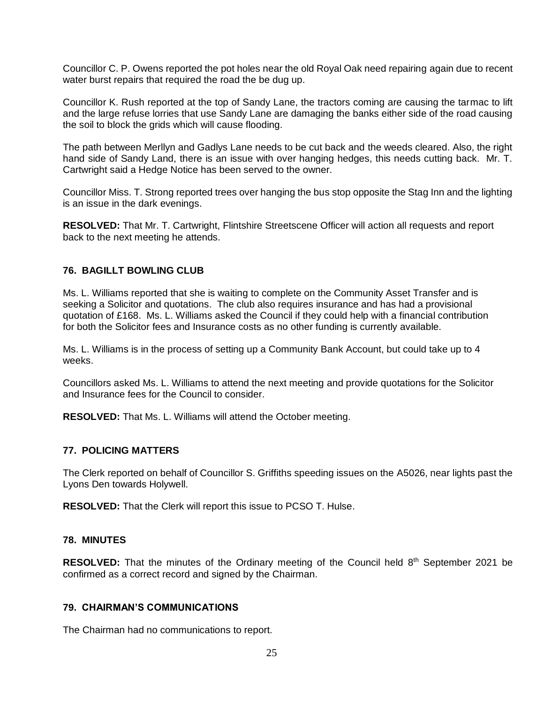Councillor C. P. Owens reported the pot holes near the old Royal Oak need repairing again due to recent water burst repairs that required the road the be dug up.

Councillor K. Rush reported at the top of Sandy Lane, the tractors coming are causing the tarmac to lift and the large refuse lorries that use Sandy Lane are damaging the banks either side of the road causing the soil to block the grids which will cause flooding.

The path between Merllyn and Gadlys Lane needs to be cut back and the weeds cleared. Also, the right hand side of Sandy Land, there is an issue with over hanging hedges, this needs cutting back. Mr. T. Cartwright said a Hedge Notice has been served to the owner.

Councillor Miss. T. Strong reported trees over hanging the bus stop opposite the Stag Inn and the lighting is an issue in the dark evenings.

**RESOLVED:** That Mr. T. Cartwright, Flintshire Streetscene Officer will action all requests and report back to the next meeting he attends.

### **76. BAGILLT BOWLING CLUB**

Ms. L. Williams reported that she is waiting to complete on the Community Asset Transfer and is seeking a Solicitor and quotations. The club also requires insurance and has had a provisional quotation of £168. Ms. L. Williams asked the Council if they could help with a financial contribution for both the Solicitor fees and Insurance costs as no other funding is currently available.

Ms. L. Williams is in the process of setting up a Community Bank Account, but could take up to 4 weeks.

Councillors asked Ms. L. Williams to attend the next meeting and provide quotations for the Solicitor and Insurance fees for the Council to consider.

**RESOLVED:** That Ms. L. Williams will attend the October meeting.

#### **77. POLICING MATTERS**

The Clerk reported on behalf of Councillor S. Griffiths speeding issues on the A5026, near lights past the Lyons Den towards Holywell.

**RESOLVED:** That the Clerk will report this issue to PCSO T. Hulse.

#### **78. MINUTES**

RESOLVED: That the minutes of the Ordinary meeting of the Council held 8<sup>th</sup> September 2021 be confirmed as a correct record and signed by the Chairman.

#### **79. CHAIRMAN'S COMMUNICATIONS**

The Chairman had no communications to report.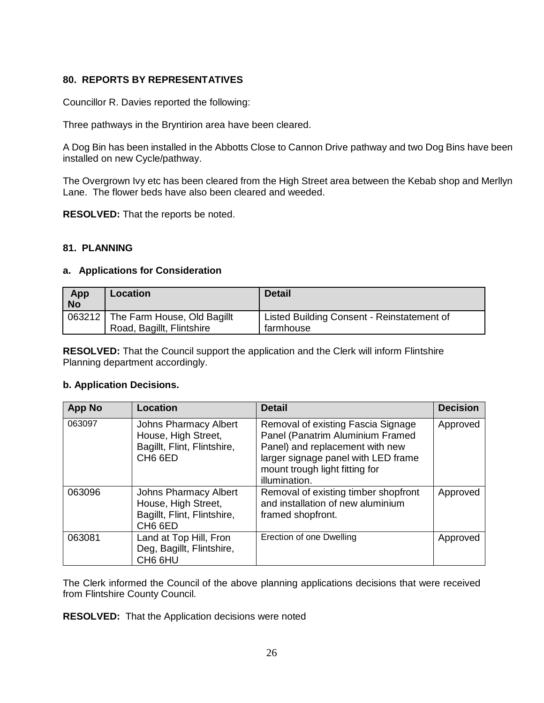# **80. REPORTS BY REPRESENTATIVES**

Councillor R. Davies reported the following:

Three pathways in the Bryntirion area have been cleared.

A Dog Bin has been installed in the Abbotts Close to Cannon Drive pathway and two Dog Bins have been installed on new Cycle/pathway.

The Overgrown Ivy etc has been cleared from the High Street area between the Kebab shop and Merllyn Lane. The flower beds have also been cleared and weeded.

**RESOLVED:** That the reports be noted.

# **81. PLANNING**

### **a. Applications for Consideration**

| App<br><b>No</b> | <b>Location</b>                                                 | <b>Detail</b>                                           |
|------------------|-----------------------------------------------------------------|---------------------------------------------------------|
|                  | 063212 The Farm House, Old Bagillt<br>Road, Bagillt, Flintshire | Listed Building Consent - Reinstatement of<br>farmhouse |

**RESOLVED:** That the Council support the application and the Clerk will inform Flintshire Planning department accordingly.

#### **b. Application Decisions.**

| <b>App No</b> | Location                                                                                                  | <b>Detail</b>                                                                                                                                                                                       | <b>Decision</b> |
|---------------|-----------------------------------------------------------------------------------------------------------|-----------------------------------------------------------------------------------------------------------------------------------------------------------------------------------------------------|-----------------|
| 063097        | <b>Johns Pharmacy Albert</b><br>House, High Street,<br>Bagillt, Flint, Flintshire,<br>CH <sub>6</sub> 6ED | Removal of existing Fascia Signage<br>Panel (Panatrim Aluminium Framed<br>Panel) and replacement with new<br>larger signage panel with LED frame<br>mount trough light fitting for<br>illumination. | Approved        |
| 063096        | <b>Johns Pharmacy Albert</b><br>House, High Street,<br>Bagillt, Flint, Flintshire,<br>CH <sub>6</sub> 6ED | Removal of existing timber shopfront<br>and installation of new aluminium<br>framed shopfront.                                                                                                      | Approved        |
| 063081        | Land at Top Hill, Fron<br>Deg, Bagillt, Flintshire,<br>CH6 6HU                                            | Erection of one Dwelling                                                                                                                                                                            | Approved        |

The Clerk informed the Council of the above planning applications decisions that were received from Flintshire County Council.

**RESOLVED:** That the Application decisions were noted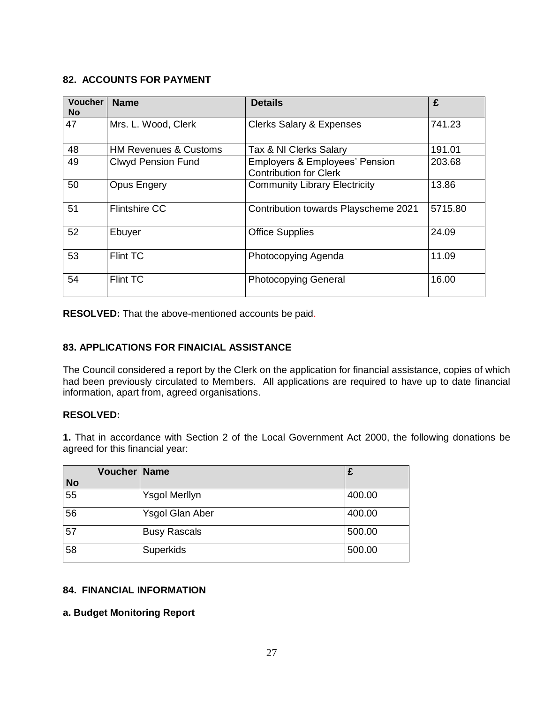# **82. ACCOUNTS FOR PAYMENT**

| Voucher<br><b>No</b> | <b>Name</b>                      | <b>Details</b>                                                             | £       |
|----------------------|----------------------------------|----------------------------------------------------------------------------|---------|
| 47                   | Mrs. L. Wood, Clerk              | <b>Clerks Salary &amp; Expenses</b>                                        | 741.23  |
| 48                   | <b>HM Revenues &amp; Customs</b> | Tax & NI Clerks Salary                                                     | 191.01  |
| 49                   | <b>Clwyd Pension Fund</b>        | <b>Employers &amp; Employees' Pension</b><br><b>Contribution for Clerk</b> | 203.68  |
| 50                   | <b>Opus Engery</b>               | <b>Community Library Electricity</b>                                       | 13.86   |
| 51                   | <b>Flintshire CC</b>             | Contribution towards Playscheme 2021                                       | 5715.80 |
| 52                   | Ebuyer                           | <b>Office Supplies</b>                                                     | 24.09   |
| 53                   | Flint TC                         | Photocopying Agenda                                                        | 11.09   |
| 54                   | <b>Flint TC</b>                  | <b>Photocopying General</b>                                                | 16.00   |

**RESOLVED:** That the above-mentioned accounts be paid.

## **83. APPLICATIONS FOR FINAICIAL ASSISTANCE**

The Council considered a report by the Clerk on the application for financial assistance, copies of which had been previously circulated to Members. All applications are required to have up to date financial information, apart from, agreed organisations.

## **RESOLVED:**

**1.** That in accordance with Section 2 of the Local Government Act 2000, the following donations be agreed for this financial year:

| Voucher   Name  |                        | £      |
|-----------------|------------------------|--------|
| <b>No</b>       |                        |        |
| $\overline{55}$ | Ysgol Merllyn          | 400.00 |
| 56              | <b>Ysgol Glan Aber</b> | 400.00 |
| 57              | <b>Busy Rascals</b>    | 500.00 |
| 58              | Superkids              | 500.00 |

## **84. FINANCIAL INFORMATION**

## **a. Budget Monitoring Report**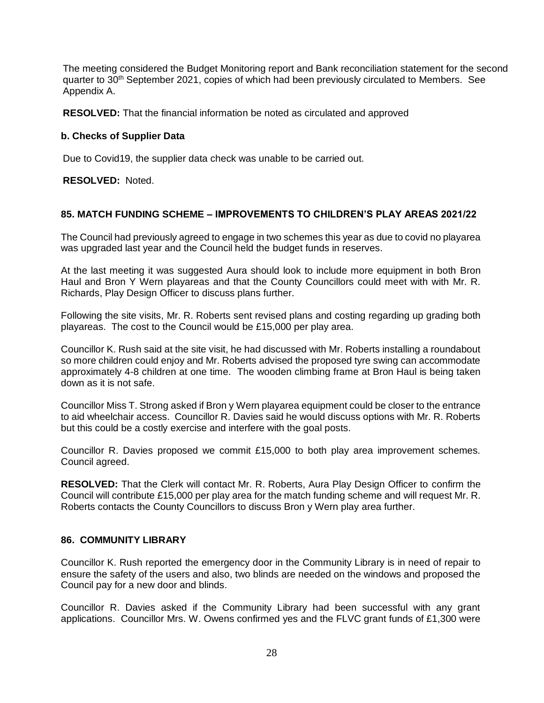The meeting considered the Budget Monitoring report and Bank reconciliation statement for the second quarter to 30<sup>th</sup> September 2021, copies of which had been previously circulated to Members. See Appendix A.

**RESOLVED:** That the financial information be noted as circulated and approved

## **b. Checks of Supplier Data**

Due to Covid19, the supplier data check was unable to be carried out.

**RESOLVED:** Noted.

### **85. MATCH FUNDING SCHEME – IMPROVEMENTS TO CHILDREN'S PLAY AREAS 2021/22**

The Council had previously agreed to engage in two schemes this year as due to covid no playarea was upgraded last year and the Council held the budget funds in reserves.

At the last meeting it was suggested Aura should look to include more equipment in both Bron Haul and Bron Y Wern playareas and that the County Councillors could meet with with Mr. R. Richards, Play Design Officer to discuss plans further.

Following the site visits, Mr. R. Roberts sent revised plans and costing regarding up grading both playareas. The cost to the Council would be £15,000 per play area.

Councillor K. Rush said at the site visit, he had discussed with Mr. Roberts installing a roundabout so more children could enjoy and Mr. Roberts advised the proposed tyre swing can accommodate approximately 4-8 children at one time. The wooden climbing frame at Bron Haul is being taken down as it is not safe.

Councillor Miss T. Strong asked if Bron y Wern playarea equipment could be closer to the entrance to aid wheelchair access. Councillor R. Davies said he would discuss options with Mr. R. Roberts but this could be a costly exercise and interfere with the goal posts.

Councillor R. Davies proposed we commit £15,000 to both play area improvement schemes. Council agreed.

**RESOLVED:** That the Clerk will contact Mr. R. Roberts, Aura Play Design Officer to confirm the Council will contribute £15,000 per play area for the match funding scheme and will request Mr. R. Roberts contacts the County Councillors to discuss Bron y Wern play area further.

#### **86. COMMUNITY LIBRARY**

Councillor K. Rush reported the emergency door in the Community Library is in need of repair to ensure the safety of the users and also, two blinds are needed on the windows and proposed the Council pay for a new door and blinds.

Councillor R. Davies asked if the Community Library had been successful with any grant applications. Councillor Mrs. W. Owens confirmed yes and the FLVC grant funds of £1,300 were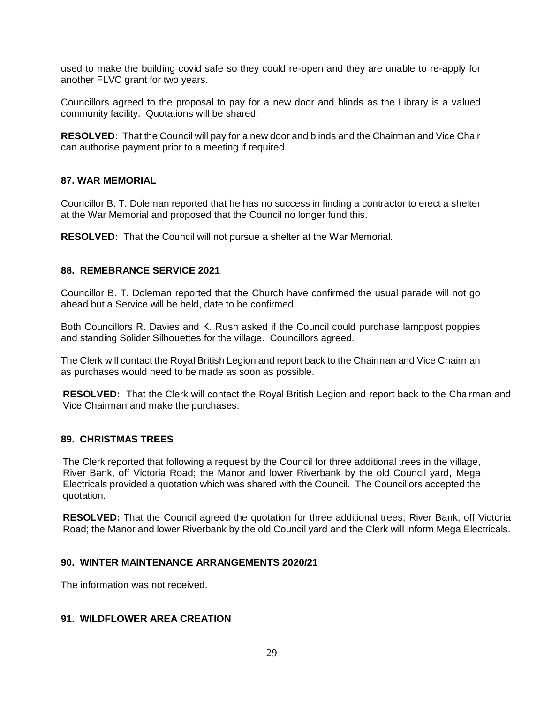used to make the building covid safe so they could re-open and they are unable to re-apply for another FLVC grant for two years.

Councillors agreed to the proposal to pay for a new door and blinds as the Library is a valued community facility. Quotations will be shared.

**RESOLVED:** That the Council will pay for a new door and blinds and the Chairman and Vice Chair can authorise payment prior to a meeting if required.

#### **87. WAR MEMORIAL**

Councillor B. T. Doleman reported that he has no success in finding a contractor to erect a shelter at the War Memorial and proposed that the Council no longer fund this.

**RESOLVED:** That the Council will not pursue a shelter at the War Memorial.

### **88. REMEBRANCE SERVICE 2021**

Councillor B. T. Doleman reported that the Church have confirmed the usual parade will not go ahead but a Service will be held, date to be confirmed.

Both Councillors R. Davies and K. Rush asked if the Council could purchase lamppost poppies and standing Solider Silhouettes for the village. Councillors agreed.

The Clerk will contact the Royal British Legion and report back to the Chairman and Vice Chairman as purchases would need to be made as soon as possible.

**RESOLVED:** That the Clerk will contact the Royal British Legion and report back to the Chairman and Vice Chairman and make the purchases.

#### **89. CHRISTMAS TREES**

The Clerk reported that following a request by the Council for three additional trees in the village, River Bank, off Victoria Road; the Manor and lower Riverbank by the old Council yard, Mega Electricals provided a quotation which was shared with the Council. The Councillors accepted the quotation.

**RESOLVED:** That the Council agreed the quotation for three additional trees, River Bank, off Victoria Road; the Manor and lower Riverbank by the old Council yard and the Clerk will inform Mega Electricals.

## **90. WINTER MAINTENANCE ARRANGEMENTS 2020/21**

The information was not received.

## **91. WILDFLOWER AREA CREATION**